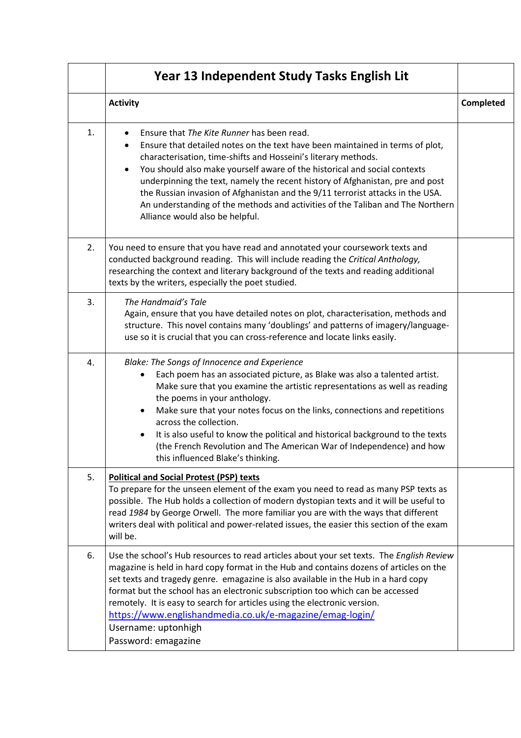|    | Year 13 Independent Study Tasks English Lit                                                                                                                                                                                                                                                                                                                                                                                                                                                                                                                                     |                  |
|----|---------------------------------------------------------------------------------------------------------------------------------------------------------------------------------------------------------------------------------------------------------------------------------------------------------------------------------------------------------------------------------------------------------------------------------------------------------------------------------------------------------------------------------------------------------------------------------|------------------|
|    | <b>Activity</b>                                                                                                                                                                                                                                                                                                                                                                                                                                                                                                                                                                 | <b>Completed</b> |
| 1. | Ensure that The Kite Runner has been read.<br>Ensure that detailed notes on the text have been maintained in terms of plot,<br>characterisation, time-shifts and Hosseini's literary methods.<br>You should also make yourself aware of the historical and social contexts<br>$\bullet$<br>underpinning the text, namely the recent history of Afghanistan, pre and post<br>the Russian invasion of Afghanistan and the 9/11 terrorist attacks in the USA.<br>An understanding of the methods and activities of the Taliban and The Northern<br>Alliance would also be helpful. |                  |
| 2. | You need to ensure that you have read and annotated your coursework texts and<br>conducted background reading. This will include reading the Critical Anthology,<br>researching the context and literary background of the texts and reading additional<br>texts by the writers, especially the poet studied.                                                                                                                                                                                                                                                                   |                  |
| 3. | The Handmaid's Tale<br>Again, ensure that you have detailed notes on plot, characterisation, methods and<br>structure. This novel contains many 'doublings' and patterns of imagery/language-<br>use so it is crucial that you can cross-reference and locate links easily.                                                                                                                                                                                                                                                                                                     |                  |
| 4. | Blake: The Songs of Innocence and Experience<br>Each poem has an associated picture, as Blake was also a talented artist.<br>٠<br>Make sure that you examine the artistic representations as well as reading<br>the poems in your anthology.<br>Make sure that your notes focus on the links, connections and repetitions<br>$\bullet$<br>across the collection.<br>It is also useful to know the political and historical background to the texts<br>(the French Revolution and The American War of Independence) and how<br>this influenced Blake's thinking.                 |                  |
| 5. | <b>Political and Social Protest (PSP) texts</b><br>To prepare for the unseen element of the exam you need to read as many PSP texts as<br>possible. The Hub holds a collection of modern dystopian texts and it will be useful to<br>read 1984 by George Orwell. The more familiar you are with the ways that different<br>writers deal with political and power-related issues, the easier this section of the exam<br>will be.                                                                                                                                                |                  |
| 6. | Use the school's Hub resources to read articles about your set texts. The English Review<br>magazine is held in hard copy format in the Hub and contains dozens of articles on the<br>set texts and tragedy genre. emagazine is also available in the Hub in a hard copy<br>format but the school has an electronic subscription too which can be accessed<br>remotely. It is easy to search for articles using the electronic version.<br>https://www.englishandmedia.co.uk/e-magazine/emag-login/<br>Username: uptonhigh<br>Password: emagazine                               |                  |